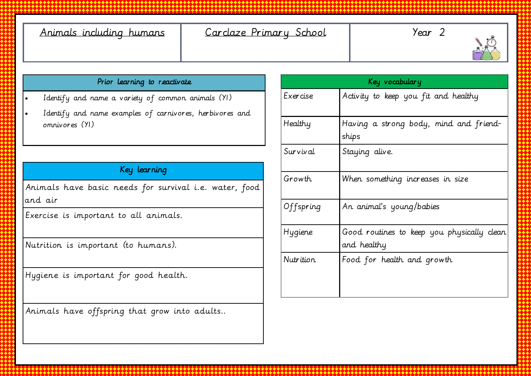| Animals including humans |  |
|--------------------------|--|
|                          |  |

# Carclaze Primary School | Year 2



#### Prior learning to reactivate

- Identify and name a variety of common animals (Y1)
- Identify and name examples of carnivores, herbivores and omnivores (Y1)

### Key learning

Animals have basic needs for survival i.e. water, food and air

Exercise is important to all animals.

Nutrition is important (to humans).

Hygiene is important for good health.

Animals have offspring that grow into adults..

| Key vocabulary |                                                           |  |
|----------------|-----------------------------------------------------------|--|
| Exercise       | Activity to keep you fit and healthy                      |  |
| Healthy        | Having a strong body, mind and friend-<br>ships           |  |
| Survival       | Staying alive.                                            |  |
| Growth         | When something increases in size                          |  |
| Offspring      | An animal's young/babies                                  |  |
| Hygiene        | Good routines to keep you physically clean<br>and healthy |  |
| Nutrition      | Food for health and growth                                |  |